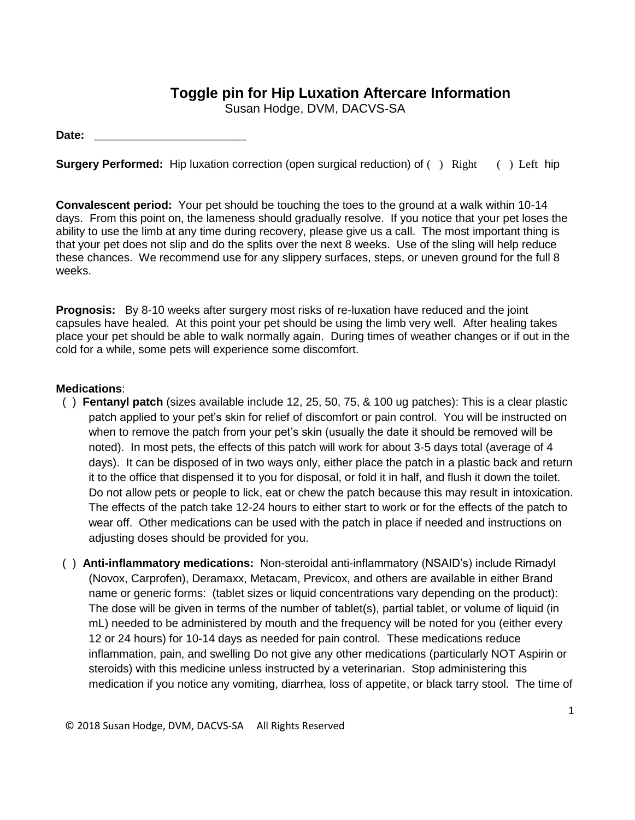## **Toggle pin for Hip Luxation Aftercare Information**

Susan Hodge, DVM, DACVS-SA

Date:

**Surgery Performed:** Hip luxation correction (open surgical reduction) of () Right () Left hip

**Convalescent period:** Your pet should be touching the toes to the ground at a walk within 10-14 days. From this point on, the lameness should gradually resolve. If you notice that your pet loses the ability to use the limb at any time during recovery, please give us a call. The most important thing is that your pet does not slip and do the splits over the next 8 weeks. Use of the sling will help reduce these chances. We recommend use for any slippery surfaces, steps, or uneven ground for the full 8 weeks.

**Prognosis:** By 8-10 weeks after surgery most risks of re-luxation have reduced and the joint capsules have healed. At this point your pet should be using the limb very well. After healing takes place your pet should be able to walk normally again. During times of weather changes or if out in the cold for a while, some pets will experience some discomfort.

## **Medications**:

- ( ) **Fentanyl patch** (sizes available include 12, 25, 50, 75, & 100 ug patches): This is a clear plastic patch applied to your pet's skin for relief of discomfort or pain control. You will be instructed on when to remove the patch from your pet's skin (usually the date it should be removed will be noted). In most pets, the effects of this patch will work for about 3-5 days total (average of 4 days). It can be disposed of in two ways only, either place the patch in a plastic back and return it to the office that dispensed it to you for disposal, or fold it in half, and flush it down the toilet. Do not allow pets or people to lick, eat or chew the patch because this may result in intoxication. The effects of the patch take 12-24 hours to either start to work or for the effects of the patch to wear off. Other medications can be used with the patch in place if needed and instructions on adjusting doses should be provided for you.
- ( ) **Anti-inflammatory medications:** Non-steroidal anti-inflammatory (NSAID's) include Rimadyl (Novox, Carprofen), Deramaxx, Metacam, Previcox, and others are available in either Brand name or generic forms: (tablet sizes or liquid concentrations vary depending on the product): The dose will be given in terms of the number of tablet(s), partial tablet, or volume of liquid (in mL) needed to be administered by mouth and the frequency will be noted for you (either every 12 or 24 hours) for 10-14 days as needed for pain control. These medications reduce inflammation, pain, and swelling Do not give any other medications (particularly NOT Aspirin or steroids) with this medicine unless instructed by a veterinarian. Stop administering this medication if you notice any vomiting, diarrhea, loss of appetite, or black tarry stool. The time of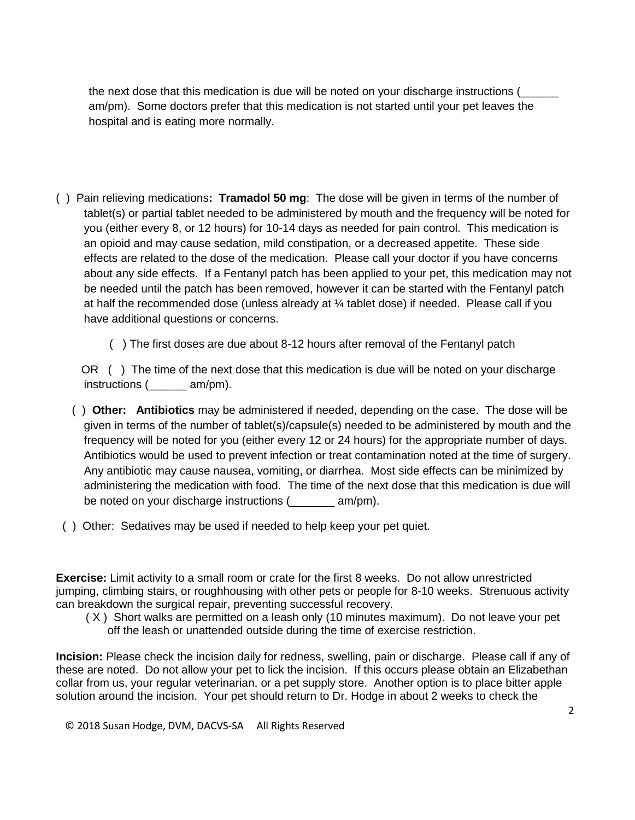the next dose that this medication is due will be noted on your discharge instructions ( am/pm). Some doctors prefer that this medication is not started until your pet leaves the hospital and is eating more normally.

- ( ) Pain relieving medications**: Tramadol 50 mg**: The dose will be given in terms of the number of tablet(s) or partial tablet needed to be administered by mouth and the frequency will be noted for you (either every 8, or 12 hours) for 10-14 days as needed for pain control. This medication is an opioid and may cause sedation, mild constipation, or a decreased appetite. These side effects are related to the dose of the medication. Please call your doctor if you have concerns about any side effects. If a Fentanyl patch has been applied to your pet, this medication may not be needed until the patch has been removed, however it can be started with the Fentanyl patch at half the recommended dose (unless already at  $\frac{1}{4}$  tablet dose) if needed. Please call if you have additional questions or concerns.
	- ( ) The first doses are due about 8-12 hours after removal of the Fentanyl patch

OR () The time of the next dose that this medication is due will be noted on your discharge instructions (  $am/m$ ).

- ( ) **Other: Antibiotics** may be administered if needed, depending on the case. The dose will be given in terms of the number of tablet(s)/capsule(s) needed to be administered by mouth and the frequency will be noted for you (either every 12 or 24 hours) for the appropriate number of days. Antibiotics would be used to prevent infection or treat contamination noted at the time of surgery. Any antibiotic may cause nausea, vomiting, or diarrhea. Most side effects can be minimized by administering the medication with food. The time of the next dose that this medication is due will be noted on your discharge instructions (example am/pm).
- ( ) Other: Sedatives may be used if needed to help keep your pet quiet.

**Exercise:** Limit activity to a small room or crate for the first 8 weeks. Do not allow unrestricted jumping, climbing stairs, or roughhousing with other pets or people for 8-10 weeks. Strenuous activity can breakdown the surgical repair, preventing successful recovery.

 ( X ) Short walks are permitted on a leash only (10 minutes maximum). Do not leave your pet off the leash or unattended outside during the time of exercise restriction.

**Incision:** Please check the incision daily for redness, swelling, pain or discharge. Please call if any of these are noted. Do not allow your pet to lick the incision. If this occurs please obtain an Elizabethan collar from us, your regular veterinarian, or a pet supply store. Another option is to place bitter apple solution around the incision. Your pet should return to Dr. Hodge in about 2 weeks to check the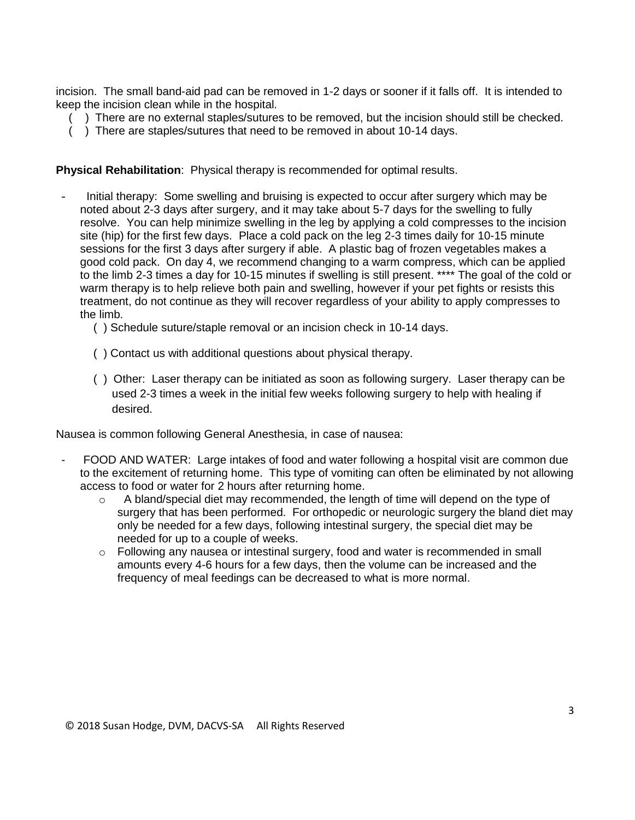incision. The small band-aid pad can be removed in 1-2 days or sooner if it falls off. It is intended to keep the incision clean while in the hospital.

- ( ) There are no external staples/sutures to be removed, but the incision should still be checked.
- $($ ) There are staples/sutures that need to be removed in about 10-14 days.

**Physical Rehabilitation**: Physical therapy is recommended for optimal results.

- Initial therapy: Some swelling and bruising is expected to occur after surgery which may be noted about 2-3 days after surgery, and it may take about 5-7 days for the swelling to fully resolve. You can help minimize swelling in the leg by applying a cold compresses to the incision site (hip) for the first few days. Place a cold pack on the leg 2-3 times daily for 10-15 minute sessions for the first 3 days after surgery if able. A plastic bag of frozen vegetables makes a good cold pack. On day 4, we recommend changing to a warm compress, which can be applied to the limb 2-3 times a day for 10-15 minutes if swelling is still present. \*\*\*\* The goal of the cold or warm therapy is to help relieve both pain and swelling, however if your pet fights or resists this treatment, do not continue as they will recover regardless of your ability to apply compresses to the limb.
	- ( ) Schedule suture/staple removal or an incision check in 10-14 days.
	- ( ) Contact us with additional questions about physical therapy.
	- ( ) Other: Laser therapy can be initiated as soon as following surgery. Laser therapy can be used 2-3 times a week in the initial few weeks following surgery to help with healing if desired.

Nausea is common following General Anesthesia, in case of nausea:

- FOOD AND WATER: Large intakes of food and water following a hospital visit are common due to the excitement of returning home. This type of vomiting can often be eliminated by not allowing access to food or water for 2 hours after returning home.
	- $\circ$  A bland/special diet may recommended, the length of time will depend on the type of surgery that has been performed. For orthopedic or neurologic surgery the bland diet may only be needed for a few days, following intestinal surgery, the special diet may be needed for up to a couple of weeks.
	- $\circ$  Following any nausea or intestinal surgery, food and water is recommended in small amounts every 4-6 hours for a few days, then the volume can be increased and the frequency of meal feedings can be decreased to what is more normal.